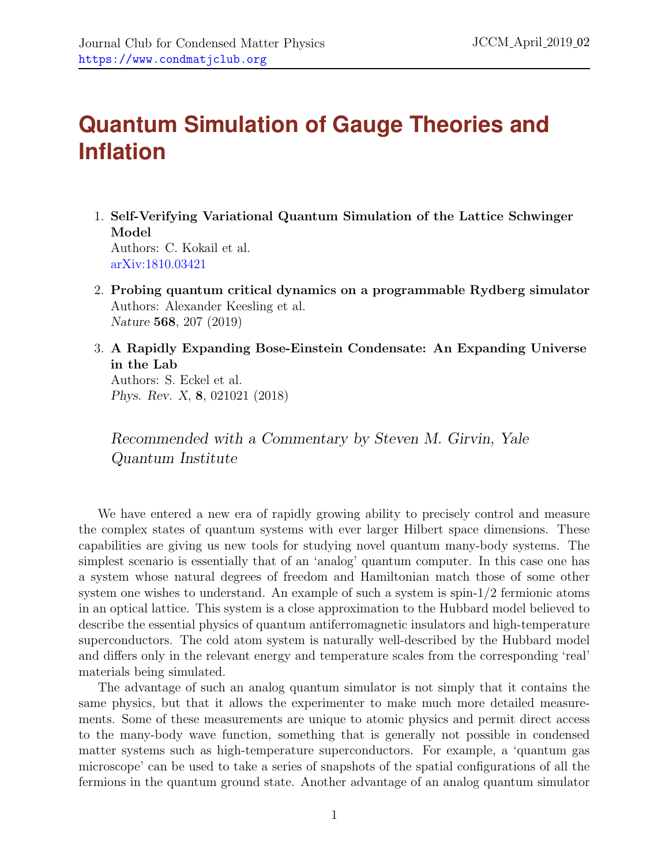## **Quantum Simulation of Gauge Theories and Inflation**

- 1. Self-Verifying Variational Quantum Simulation of the Lattice Schwinger Model Authors: C. Kokail et al. [arXiv:1810.03421](http://arxiv.org)
- 2. Probing quantum critical dynamics on a programmable Rydberg simulator Authors: Alexander Keesling et al. Nature 568, 207 (2019)
- 3. A Rapidly Expanding Bose-Einstein Condensate: An Expanding Universe in the Lab

Authors: S. Eckel et al. Phys. Rev. X, 8, 021021 (2018)

Recommended with a Commentary by Steven M. Girvin, Yale Quantum Institute

We have entered a new era of rapidly growing ability to precisely control and measure the complex states of quantum systems with ever larger Hilbert space dimensions. These capabilities are giving us new tools for studying novel quantum many-body systems. The simplest scenario is essentially that of an 'analog' quantum computer. In this case one has a system whose natural degrees of freedom and Hamiltonian match those of some other system one wishes to understand. An example of such a system is spin-1/2 fermionic atoms in an optical lattice. This system is a close approximation to the Hubbard model believed to describe the essential physics of quantum antiferromagnetic insulators and high-temperature superconductors. The cold atom system is naturally well-described by the Hubbard model and differs only in the relevant energy and temperature scales from the corresponding 'real' materials being simulated.

The advantage of such an analog quantum simulator is not simply that it contains the same physics, but that it allows the experimenter to make much more detailed measurements. Some of these measurements are unique to atomic physics and permit direct access to the many-body wave function, something that is generally not possible in condensed matter systems such as high-temperature superconductors. For example, a 'quantum gas microscope' can be used to take a series of snapshots of the spatial configurations of all the fermions in the quantum ground state. Another advantage of an analog quantum simulator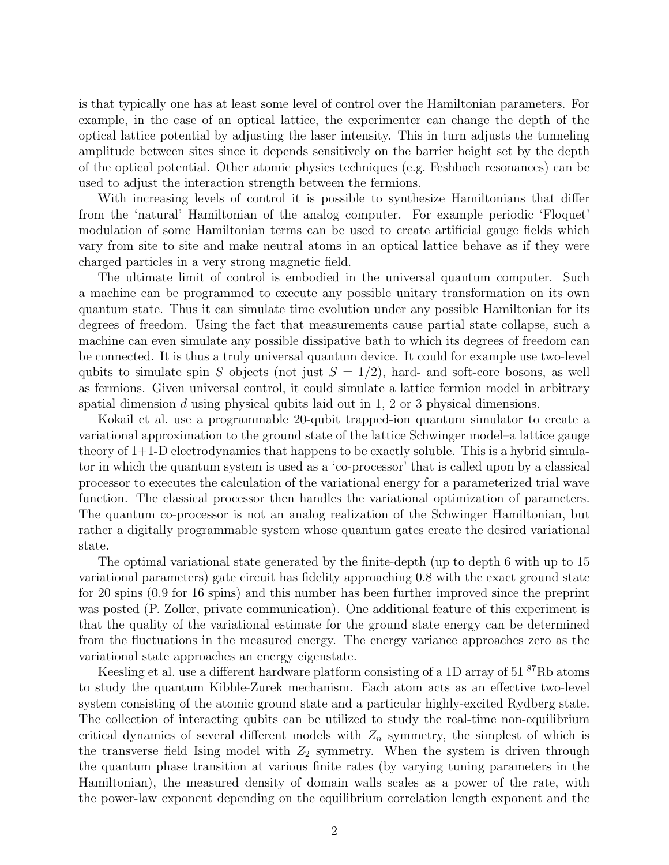is that typically one has at least some level of control over the Hamiltonian parameters. For example, in the case of an optical lattice, the experimenter can change the depth of the optical lattice potential by adjusting the laser intensity. This in turn adjusts the tunneling amplitude between sites since it depends sensitively on the barrier height set by the depth of the optical potential. Other atomic physics techniques (e.g. Feshbach resonances) can be used to adjust the interaction strength between the fermions.

With increasing levels of control it is possible to synthesize Hamiltonians that differ from the 'natural' Hamiltonian of the analog computer. For example periodic 'Floquet' modulation of some Hamiltonian terms can be used to create artificial gauge fields which vary from site to site and make neutral atoms in an optical lattice behave as if they were charged particles in a very strong magnetic field.

The ultimate limit of control is embodied in the universal quantum computer. Such a machine can be programmed to execute any possible unitary transformation on its own quantum state. Thus it can simulate time evolution under any possible Hamiltonian for its degrees of freedom. Using the fact that measurements cause partial state collapse, such a machine can even simulate any possible dissipative bath to which its degrees of freedom can be connected. It is thus a truly universal quantum device. It could for example use two-level qubits to simulate spin S objects (not just  $S = 1/2$ ), hard- and soft-core bosons, as well as fermions. Given universal control, it could simulate a lattice fermion model in arbitrary spatial dimension  $d$  using physical qubits laid out in 1, 2 or 3 physical dimensions.

Kokail et al. use a programmable 20-qubit trapped-ion quantum simulator to create a variational approximation to the ground state of the lattice Schwinger model–a lattice gauge theory of 1+1-D electrodynamics that happens to be exactly soluble. This is a hybrid simulator in which the quantum system is used as a 'co-processor' that is called upon by a classical processor to executes the calculation of the variational energy for a parameterized trial wave function. The classical processor then handles the variational optimization of parameters. The quantum co-processor is not an analog realization of the Schwinger Hamiltonian, but rather a digitally programmable system whose quantum gates create the desired variational state.

The optimal variational state generated by the finite-depth (up to depth 6 with up to 15 variational parameters) gate circuit has fidelity approaching 0.8 with the exact ground state for 20 spins (0.9 for 16 spins) and this number has been further improved since the preprint was posted (P. Zoller, private communication). One additional feature of this experiment is that the quality of the variational estimate for the ground state energy can be determined from the fluctuations in the measured energy. The energy variance approaches zero as the variational state approaches an energy eigenstate.

Keesling et al. use a different hardware platform consisting of a 1D array of  $51^{87}$ Rb atoms to study the quantum Kibble-Zurek mechanism. Each atom acts as an effective two-level system consisting of the atomic ground state and a particular highly-excited Rydberg state. The collection of interacting qubits can be utilized to study the real-time non-equilibrium critical dynamics of several different models with  $Z_n$  symmetry, the simplest of which is the transverse field Ising model with  $Z_2$  symmetry. When the system is driven through the quantum phase transition at various finite rates (by varying tuning parameters in the Hamiltonian), the measured density of domain walls scales as a power of the rate, with the power-law exponent depending on the equilibrium correlation length exponent and the